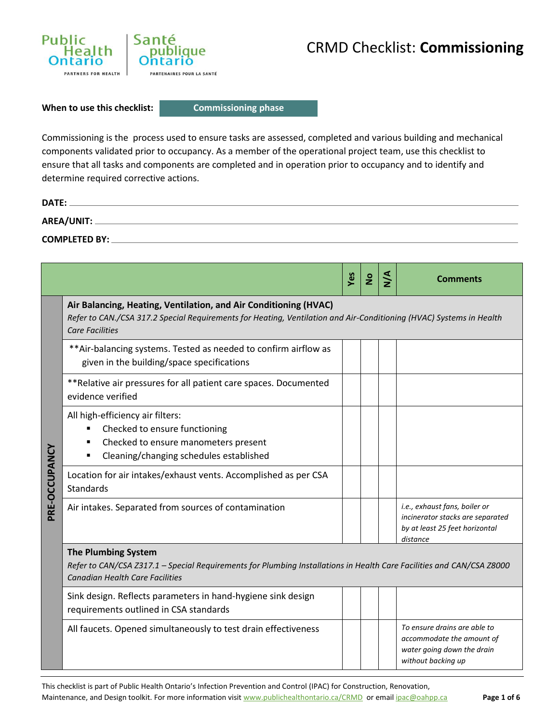

**When to use this checklist:** 

**Commissioning phase**

Commissioning is the process used to ensure tasks are assessed, completed and various building and mechanical components validated prior to occupancy. As a member of the operational project team, use this checklist to ensure that all tasks and components are completed and in operation prior to occupancy and to identify and determine required corrective actions.

| DATE:                |  |
|----------------------|--|
| AREA/UNIT:           |  |
| <b>COMPLETED BY:</b> |  |

|               |                                                                                                                                                                                                                   | Yes | $\overline{2}$ | ∖<br>N | Comments                                                                                                        |
|---------------|-------------------------------------------------------------------------------------------------------------------------------------------------------------------------------------------------------------------|-----|----------------|--------|-----------------------------------------------------------------------------------------------------------------|
|               | Air Balancing, Heating, Ventilation, and Air Conditioning (HVAC)<br>Refer to CAN./CSA 317.2 Special Requirements for Heating, Ventilation and Air-Conditioning (HVAC) Systems in Health<br><b>Care Facilities</b> |     |                |        |                                                                                                                 |
|               | ** Air-balancing systems. Tested as needed to confirm airflow as<br>given in the building/space specifications                                                                                                    |     |                |        |                                                                                                                 |
|               | ** Relative air pressures for all patient care spaces. Documented<br>evidence verified                                                                                                                            |     |                |        |                                                                                                                 |
| PRE-OCCUPANCY | All high-efficiency air filters:<br>Checked to ensure functioning<br>Checked to ensure manometers present<br>Cleaning/changing schedules established<br>٠                                                         |     |                |        |                                                                                                                 |
|               | Location for air intakes/exhaust vents. Accomplished as per CSA<br><b>Standards</b>                                                                                                                               |     |                |        |                                                                                                                 |
|               | Air intakes. Separated from sources of contamination                                                                                                                                                              |     |                |        | i.e., exhaust fans, boiler or<br>incinerator stacks are separated<br>by at least 25 feet horizontal<br>distance |
|               | <b>The Plumbing System</b><br>Refer to CAN/CSA Z317.1 - Special Requirements for Plumbing Installations in Health Care Facilities and CAN/CSA Z8000<br><b>Canadian Health Care Facilities</b>                     |     |                |        |                                                                                                                 |
|               | Sink design. Reflects parameters in hand-hygiene sink design<br>requirements outlined in CSA standards                                                                                                            |     |                |        |                                                                                                                 |
|               | All faucets. Opened simultaneously to test drain effectiveness                                                                                                                                                    |     |                |        | To ensure drains are able to<br>accommodate the amount of<br>water going down the drain<br>without backing up   |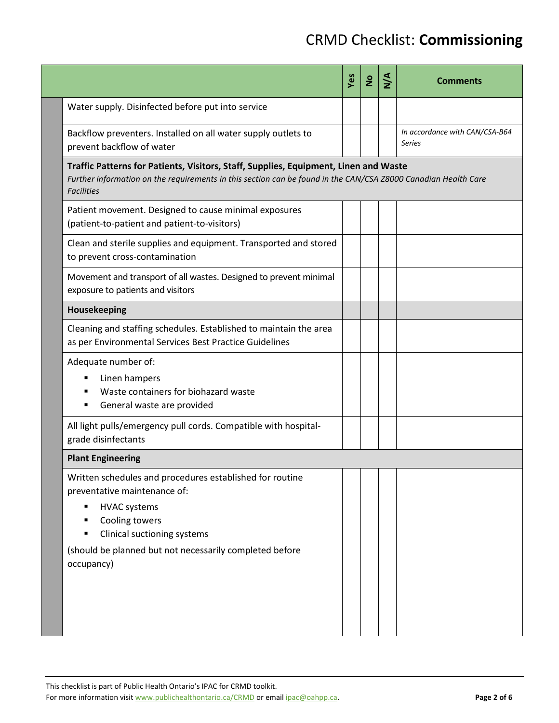|                                                                                                                                                                                                                                                          | Yes | $\overline{2}$ | $\frac{4}{2}$ | <b>Comments</b>                          |  |
|----------------------------------------------------------------------------------------------------------------------------------------------------------------------------------------------------------------------------------------------------------|-----|----------------|---------------|------------------------------------------|--|
| Water supply. Disinfected before put into service                                                                                                                                                                                                        |     |                |               |                                          |  |
| Backflow preventers. Installed on all water supply outlets to<br>prevent backflow of water                                                                                                                                                               |     |                |               | In accordance with CAN/CSA-B64<br>Series |  |
| Traffic Patterns for Patients, Visitors, Staff, Supplies, Equipment, Linen and Waste<br>Further information on the requirements in this section can be found in the CAN/CSA Z8000 Canadian Health Care<br><b>Facilities</b>                              |     |                |               |                                          |  |
| Patient movement. Designed to cause minimal exposures<br>(patient-to-patient and patient-to-visitors)                                                                                                                                                    |     |                |               |                                          |  |
| Clean and sterile supplies and equipment. Transported and stored<br>to prevent cross-contamination                                                                                                                                                       |     |                |               |                                          |  |
| Movement and transport of all wastes. Designed to prevent minimal<br>exposure to patients and visitors                                                                                                                                                   |     |                |               |                                          |  |
| Housekeeping                                                                                                                                                                                                                                             |     |                |               |                                          |  |
| Cleaning and staffing schedules. Established to maintain the area<br>as per Environmental Services Best Practice Guidelines                                                                                                                              |     |                |               |                                          |  |
| Adequate number of:<br>Linen hampers<br>Waste containers for biohazard waste<br>General waste are provided                                                                                                                                               |     |                |               |                                          |  |
| All light pulls/emergency pull cords. Compatible with hospital-<br>grade disinfectants                                                                                                                                                                   |     |                |               |                                          |  |
| <b>Plant Engineering</b>                                                                                                                                                                                                                                 |     |                |               |                                          |  |
| Written schedules and procedures established for routine<br>preventative maintenance of:<br><b>HVAC systems</b><br>٠<br>Cooling towers<br>٠<br>Clinical suctioning systems<br>٠<br>(should be planned but not necessarily completed before<br>occupancy) |     |                |               |                                          |  |

This checklist is part of Public Health Ontario's IPAC for CRMD toolkit.

For more information visit www.publichealthontario.ca/CRMD or email ipac@oahpp.ca. **Page 2 of 6** Page 2 of 6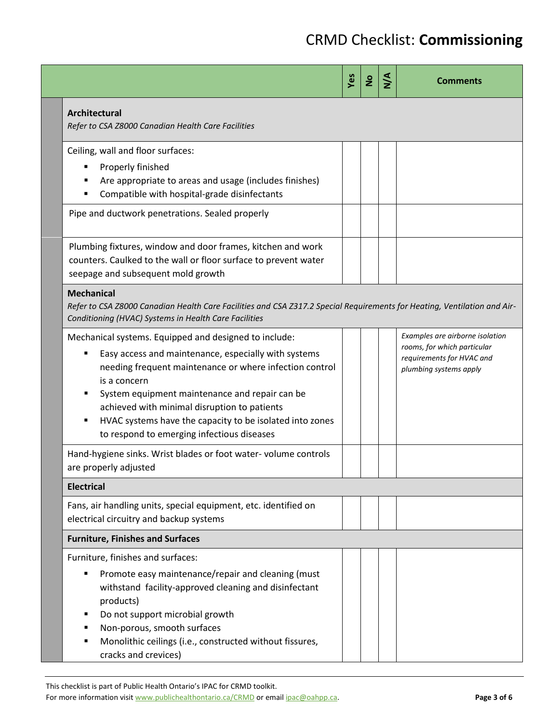|                                                                                                                                                                                                                                                                                                                                                                                                      | Yes | $\overline{z}$ | $\frac{4}{2}$ | <b>Comments</b>                                                                                                       |  |  |
|------------------------------------------------------------------------------------------------------------------------------------------------------------------------------------------------------------------------------------------------------------------------------------------------------------------------------------------------------------------------------------------------------|-----|----------------|---------------|-----------------------------------------------------------------------------------------------------------------------|--|--|
| Architectural<br>Refer to CSA Z8000 Canadian Health Care Facilities                                                                                                                                                                                                                                                                                                                                  |     |                |               |                                                                                                                       |  |  |
| Ceiling, wall and floor surfaces:<br>Properly finished<br>٠<br>Are appropriate to areas and usage (includes finishes)<br>Compatible with hospital-grade disinfectants                                                                                                                                                                                                                                |     |                |               |                                                                                                                       |  |  |
| Pipe and ductwork penetrations. Sealed properly                                                                                                                                                                                                                                                                                                                                                      |     |                |               |                                                                                                                       |  |  |
| Plumbing fixtures, window and door frames, kitchen and work<br>counters. Caulked to the wall or floor surface to prevent water<br>seepage and subsequent mold growth                                                                                                                                                                                                                                 |     |                |               |                                                                                                                       |  |  |
| <b>Mechanical</b><br>Refer to CSA Z8000 Canadian Health Care Facilities and CSA Z317.2 Special Requirements for Heating, Ventilation and Air-<br>Conditioning (HVAC) Systems in Health Care Facilities                                                                                                                                                                                               |     |                |               |                                                                                                                       |  |  |
| Mechanical systems. Equipped and designed to include:<br>Easy access and maintenance, especially with systems<br>needing frequent maintenance or where infection control<br>is a concern<br>System equipment maintenance and repair can be<br>achieved with minimal disruption to patients<br>HVAC systems have the capacity to be isolated into zones<br>to respond to emerging infectious diseases |     |                |               | Examples are airborne isolation<br>rooms, for which particular<br>requirements for HVAC and<br>plumbing systems apply |  |  |
| Hand-hygiene sinks. Wrist blades or foot water-volume controls<br>are properly adjusted                                                                                                                                                                                                                                                                                                              |     |                |               |                                                                                                                       |  |  |
| <b>Electrical</b>                                                                                                                                                                                                                                                                                                                                                                                    |     |                |               |                                                                                                                       |  |  |
| Fans, air handling units, special equipment, etc. identified on<br>electrical circuitry and backup systems                                                                                                                                                                                                                                                                                           |     |                |               |                                                                                                                       |  |  |
| <b>Furniture, Finishes and Surfaces</b>                                                                                                                                                                                                                                                                                                                                                              |     |                |               |                                                                                                                       |  |  |
| Furniture, finishes and surfaces:<br>Promote easy maintenance/repair and cleaning (must<br>withstand facility-approved cleaning and disinfectant<br>products)<br>Do not support microbial growth<br>Non-porous, smooth surfaces<br>Monolithic ceilings (i.e., constructed without fissures,<br>cracks and crevices)                                                                                  |     |                |               |                                                                                                                       |  |  |

This checklist is part of Public Health Ontario's IPAC for CRMD toolkit.

For more information visit www.publichealthontario.ca/CRMD or email ipac@oahpp.ca. **Page 3 of 6** Page 3 of 6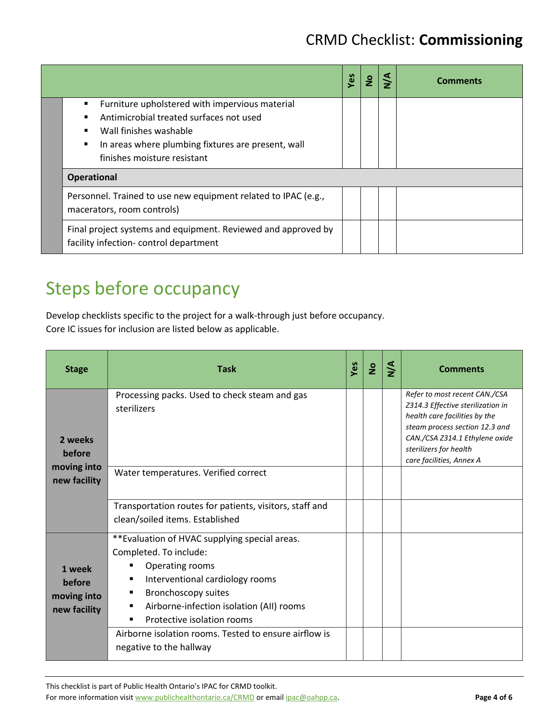|                                                                                                                                                                                                               | Yes | $\frac{1}{2}$ | $\frac{4}{2}$ | <b>Comments</b> |
|---------------------------------------------------------------------------------------------------------------------------------------------------------------------------------------------------------------|-----|---------------|---------------|-----------------|
| Furniture upholstered with impervious material<br>Antimicrobial treated surfaces not used<br>Wall finishes washable<br>In areas where plumbing fixtures are present, wall<br>٠<br>finishes moisture resistant |     |               |               |                 |
| <b>Operational</b>                                                                                                                                                                                            |     |               |               |                 |
| Personnel. Trained to use new equipment related to IPAC (e.g.,<br>macerators, room controls)                                                                                                                  |     |               |               |                 |
| Final project systems and equipment. Reviewed and approved by<br>facility infection- control department                                                                                                       |     |               |               |                 |

# Steps before occupancy

Develop checklists specific to the project for a walk-through just before occupancy. Core IC issues for inclusion are listed below as applicable.

| <b>Stage</b>                                    | <b>Task</b>                                                                                                                                                                                                                                                                 | Yes | $\frac{1}{2}$ | $\frac{4}{2}$ | <b>Comments</b>                                                                                                                                                                                                               |
|-------------------------------------------------|-----------------------------------------------------------------------------------------------------------------------------------------------------------------------------------------------------------------------------------------------------------------------------|-----|---------------|---------------|-------------------------------------------------------------------------------------------------------------------------------------------------------------------------------------------------------------------------------|
| 2 weeks<br>before                               | Processing packs. Used to check steam and gas<br>sterilizers                                                                                                                                                                                                                |     |               |               | Refer to most recent CAN./CSA<br>Z314.3 Effective sterilization in<br>health care facilities by the<br>steam process section 12.3 and<br>CAN./CSA Z314.1 Ethylene oxide<br>sterilizers for health<br>care facilities, Annex A |
| moving into<br>new facility                     | Water temperatures. Verified correct                                                                                                                                                                                                                                        |     |               |               |                                                                                                                                                                                                                               |
|                                                 | Transportation routes for patients, visitors, staff and<br>clean/soiled items. Established                                                                                                                                                                                  |     |               |               |                                                                                                                                                                                                                               |
| 1 week<br>before<br>moving into<br>new facility | **Evaluation of HVAC supplying special areas.<br>Completed. To include:<br>Operating rooms<br>٠<br>Interventional cardiology rooms<br>٠<br><b>Bronchoscopy suites</b><br>٠<br>Airborne-infection isolation (AII) rooms<br>٠<br>Protective isolation rooms<br>$\blacksquare$ |     |               |               |                                                                                                                                                                                                                               |
|                                                 | Airborne isolation rooms. Tested to ensure airflow is<br>negative to the hallway                                                                                                                                                                                            |     |               |               |                                                                                                                                                                                                                               |

This checklist is part of Public Health Ontario's IPAC for CRMD toolkit.

For more information visit www.publichealthontario.ca/CRMD or email ipac@oahpp.ca. **Page 4 of 6** Page 4 of 6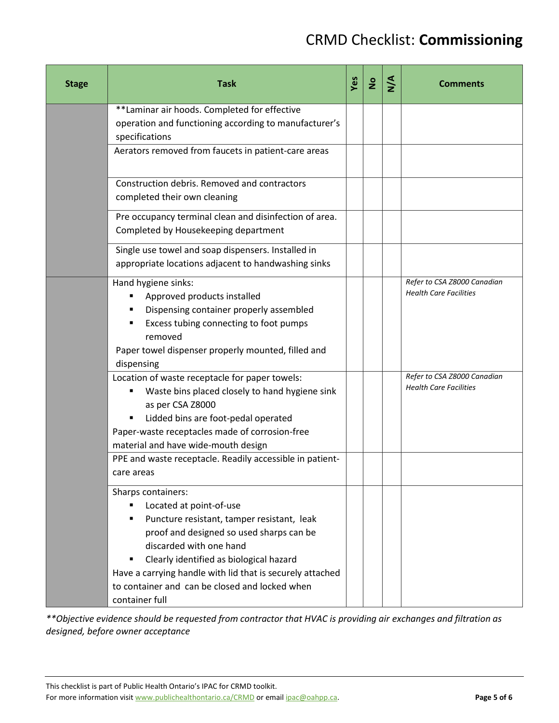| <b>Stage</b> | <b>Task</b>                                                                                                                                                                                                                                                                                                                                         | Yes | $\overline{2}$ | $\frac{4}{2}$ | <b>Comments</b>                                              |
|--------------|-----------------------------------------------------------------------------------------------------------------------------------------------------------------------------------------------------------------------------------------------------------------------------------------------------------------------------------------------------|-----|----------------|---------------|--------------------------------------------------------------|
|              | **Laminar air hoods. Completed for effective<br>operation and functioning according to manufacturer's<br>specifications                                                                                                                                                                                                                             |     |                |               |                                                              |
|              | Aerators removed from faucets in patient-care areas                                                                                                                                                                                                                                                                                                 |     |                |               |                                                              |
|              | Construction debris. Removed and contractors<br>completed their own cleaning                                                                                                                                                                                                                                                                        |     |                |               |                                                              |
|              | Pre occupancy terminal clean and disinfection of area.<br>Completed by Housekeeping department                                                                                                                                                                                                                                                      |     |                |               |                                                              |
|              | Single use towel and soap dispensers. Installed in<br>appropriate locations adjacent to handwashing sinks                                                                                                                                                                                                                                           |     |                |               |                                                              |
|              | Hand hygiene sinks:<br>Approved products installed<br>п<br>Dispensing container properly assembled<br>٠<br>Excess tubing connecting to foot pumps<br>removed<br>Paper towel dispenser properly mounted, filled and<br>dispensing                                                                                                                    |     |                |               | Refer to CSA Z8000 Canadian<br><b>Health Care Facilities</b> |
|              | Location of waste receptacle for paper towels:<br>Waste bins placed closely to hand hygiene sink<br>٠<br>as per CSA Z8000<br>Lidded bins are foot-pedal operated<br>٠<br>Paper-waste receptacles made of corrosion-free<br>material and have wide-mouth design                                                                                      |     |                |               | Refer to CSA Z8000 Canadian<br><b>Health Care Facilities</b> |
|              | PPE and waste receptacle. Readily accessible in patient-<br>care areas                                                                                                                                                                                                                                                                              |     |                |               |                                                              |
|              | Sharps containers:<br>Located at point-of-use<br>Puncture resistant, tamper resistant, leak<br>٠<br>proof and designed so used sharps can be<br>discarded with one hand<br>Clearly identified as biological hazard<br>Have a carrying handle with lid that is securely attached<br>to container and can be closed and locked when<br>container full |     |                |               |                                                              |

*\*\*Objective evidence should be requested from contractor that HVAC is providing air exchanges and filtration as designed, before owner acceptance* 

This checklist is part of Public Health Ontario's IPAC for CRMD toolkit.

For more information visit www.publichealthontario.ca/CRMD or email ipac@oahpp.ca. **Page 5 of 6** Page 5 of 6